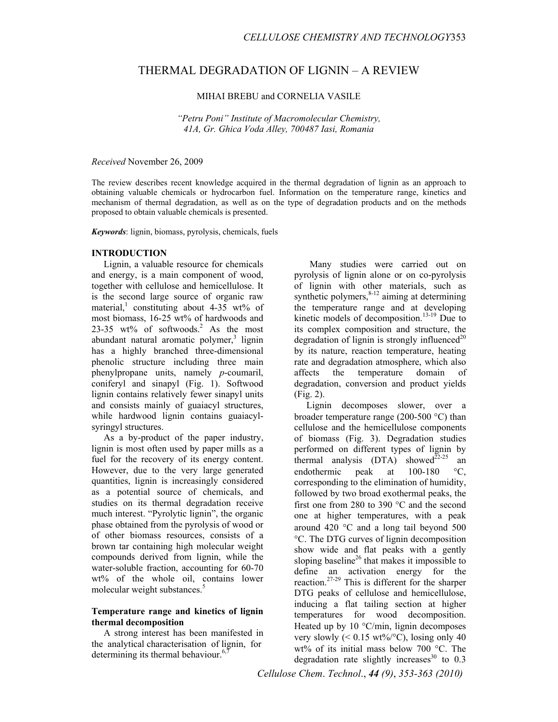# THERMAL DEGRADATION OF LIGNIN – A REVIEW

MIHAI BREBU and CORNELIA VASILE

*"Petru Poni" Institute of Macromolecular Chemistry, 41A, Gr. Ghica Voda Alley, 700487 Iasi, Romania* 

#### *Received* November 26, 2009

The review describes recent knowledge acquired in the thermal degradation of lignin as an approach to obtaining valuable chemicals or hydrocarbon fuel. Information on the temperature range, kinetics and mechanism of thermal degradation, as well as on the type of degradation products and on the methods proposed to obtain valuable chemicals is presented.

*Keywords*: lignin, biomass, pyrolysis, chemicals, fuels

## **INTRODUCTION**

Lignin, a valuable resource for chemicals and energy, is a main component of wood, together with cellulose and hemicellulose. It is the second large source of organic raw material,<sup>1</sup> constituting about 4-35 wt% of most biomass, 16-25 wt% of hardwoods and 23-35 wt% of softwoods.<sup>2</sup> As the most abundant natural aromatic polymer,<sup>3</sup> lignin has a highly branched three-dimensional phenolic structure including three main phenylpropane units, namely *p*-coumaril, coniferyl and sinapyl (Fig. 1). Softwood lignin contains relatively fewer sinapyl units and consists mainly of guaiacyl structures, while hardwood lignin contains guaiacylsyringyl structures.

As a by-product of the paper industry, lignin is most often used by paper mills as a fuel for the recovery of its energy content. However, due to the very large generated quantities, lignin is increasingly considered as a potential source of chemicals, and studies on its thermal degradation receive much interest. "Pyrolytic lignin", the organic phase obtained from the pyrolysis of wood or of other biomass resources, consists of a brown tar containing high molecular weight compounds derived from lignin, while the water-soluble fraction, accounting for 60-70 wt% of the whole oil, contains lower molecular weight substances.<sup>5</sup>

## **Temperature range and kinetics of lignin thermal decomposition**

A strong interest has been manifested in the analytical characterisation of lignin, for determining its thermal behaviour. $6,7$ 

Many studies were carried out on pyrolysis of lignin alone or on co-pyrolysis of lignin with other materials, such as synthetic polymers,  $8-12$  aiming at determining the temperature range and at developing kinetic models of decomposition.<sup>13-19</sup> Due to its complex composition and structure, the degradation of lignin is strongly influenced<sup>20</sup> by its nature, reaction temperature, heating rate and degradation atmosphere, which also affects the temperature domain of degradation, conversion and product yields (Fig. 2).

Lignin decomposes slower, over a broader temperature range (200-500 °C) than cellulose and the hemicellulose components of biomass (Fig. 3). Degradation studies performed on different types of lignin by thermal analysis  $(DTA)$  showed<sup>22-25</sup> an endothermic peak at 100-180 °C, corresponding to the elimination of humidity, followed by two broad exothermal peaks, the first one from 280 to 390 °C and the second one at higher temperatures, with a peak around 420 °C and a long tail beyond 500 °C. The DTG curves of lignin decomposition show wide and flat peaks with a gently sloping baseline<sup>26</sup> that makes it impossible to define an activation energy for the reaction.<sup>27-29</sup> This is different for the sharper DTG peaks of cellulose and hemicellulose, inducing a flat tailing section at higher temperatures for wood decomposition. Heated up by 10 °C/min, lignin decomposes very slowly  $(< 0.15 \text{ wt\%}/^{\circ}\text{C})$ , losing only 40 wt% of its initial mass below 700 °C. The degradation rate slightly increases<sup>30</sup> to  $0.3$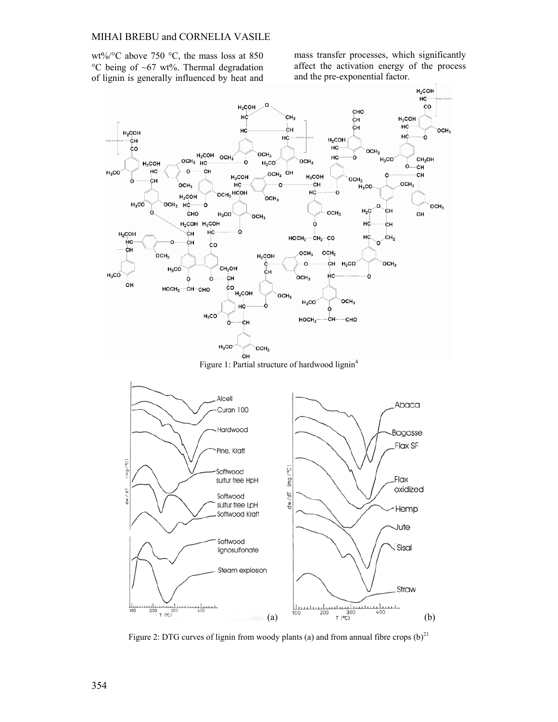#### MIHAI BREBU and CORNELIA VASILE

wt%/°C above 750 °C, the mass loss at 850 °C being of ~67 wt%. Thermal degradation of lignin is generally influenced by heat and

mass transfer processes, which significantly affect the activation energy of the process and the pre-exponential factor.



Figure 1: Partial structure of hardwood lignin<sup>4</sup>



Figure 2: DTG curves of lignin from woody plants (a) and from annual fibre crops  $(b)^{21}$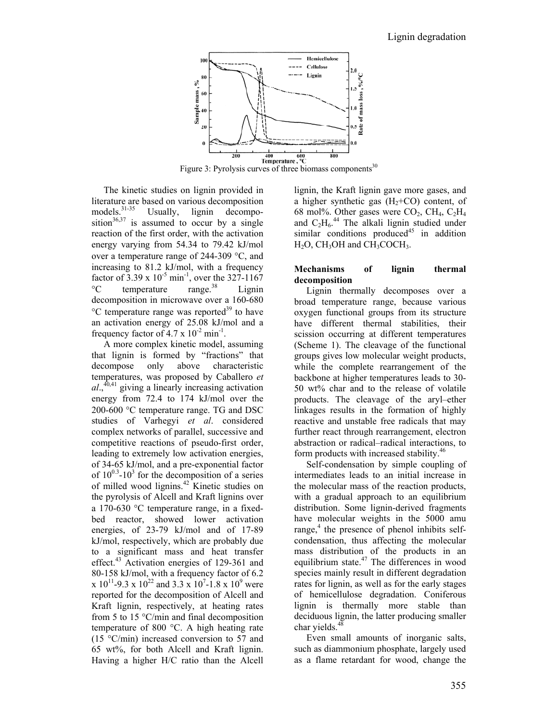

The kinetic studies on lignin provided in literature are based on various decomposition<br>models.<sup>31-35</sup> Usually, lignin decompo-Usually, lignin decomposition<sup>36,37</sup> is assumed to occur by a single reaction of the first order, with the activation energy varying from 54.34 to 79.42 kJ/mol over a temperature range of 244-309 °C, and increasing to 81.2 kJ/mol, with a frequency factor of 3.39 x  $10^{-5}$  min<sup>-1</sup>, over the 327-1167  ${}^{\circ}$ C temperature range.<sup>38</sup> Lignin decomposition in microwave over a 160-680  $\rm{^{\circ}C}$  temperature range was reported<sup>39</sup> to have an activation energy of 25.08 kJ/mol and a frequency factor of  $4.7 \times 10^{-2}$  min<sup>-1</sup>.

A more complex kinetic model, assuming that lignin is formed by "fractions" that decompose only above characteristic temperatures, was proposed by Caballero *et al*.,40,41 giving a linearly increasing activation energy from 72.4 to 174 kJ/mol over the 200-600 °C temperature range. TG and DSC studies of Varhegyi *et al*. considered complex networks of parallel, successive and competitive reactions of pseudo-first order, leading to extremely low activation energies, of 34-65 kJ/mol, and a pre-exponential factor of  $10^{0.3}$ - $10^3$  for the decomposition of a series of milled wood lignins.42 Kinetic studies on the pyrolysis of Alcell and Kraft lignins over a 170-630 °C temperature range, in a fixedbed reactor, showed lower activation energies, of 23-79 kJ/mol and of 17-89 kJ/mol, respectively, which are probably due to a significant mass and heat transfer effect.43 Activation energies of 129-361 and 80-158 kJ/mol, with a frequency factor of 6.2 x  $10^{11}$ -9.3 x  $10^{22}$  and 3.3 x  $10^{7}$ -1.8 x  $10^{9}$  were reported for the decomposition of Alcell and Kraft lignin, respectively, at heating rates from 5 to 15 °C/min and final decomposition temperature of 800 °C. A high heating rate (15 °C/min) increased conversion to 57 and 65 wt%, for both Alcell and Kraft lignin. Having a higher H/C ratio than the Alcell

lignin, the Kraft lignin gave more gases, and a higher synthetic gas  $(H_2+CO)$  content, of 68 mol%. Other gases were  $CO<sub>2</sub>$ ,  $CH<sub>4</sub>$ ,  $C<sub>2</sub>H<sub>4</sub>$ and  $C_2H_6$ .<sup>44</sup> The alkali lignin studied under similar conditions produced<sup>45</sup> in addition  $H_2O$ , CH<sub>3</sub>OH and CH<sub>3</sub>COCH<sub>3</sub>.

## **Mechanisms of lignin thermal decomposition**

Lignin thermally decomposes over a broad temperature range, because various oxygen functional groups from its structure have different thermal stabilities, their scission occurring at different temperatures (Scheme 1). The cleavage of the functional groups gives low molecular weight products, while the complete rearrangement of the backbone at higher temperatures leads to 30- 50 wt% char and to the release of volatile products. The cleavage of the aryl–ether linkages results in the formation of highly reactive and unstable free radicals that may further react through rearrangement, electron abstraction or radical–radical interactions, to form products with increased stability.46

Self-condensation by simple coupling of intermediates leads to an initial increase in the molecular mass of the reaction products, with a gradual approach to an equilibrium distribution. Some lignin-derived fragments have molecular weights in the 5000 amu range,<sup>4</sup> the presence of phenol inhibits selfcondensation, thus affecting the molecular mass distribution of the products in an equilibrium state.47 The differences in wood species mainly result in different degradation rates for lignin, as well as for the early stages of hemicellulose degradation. Coniferous lignin is thermally more stable than deciduous lignin, the latter producing smaller char yields.<sup>4</sup>

Even small amounts of inorganic salts, such as diammonium phosphate, largely used as a flame retardant for wood, change the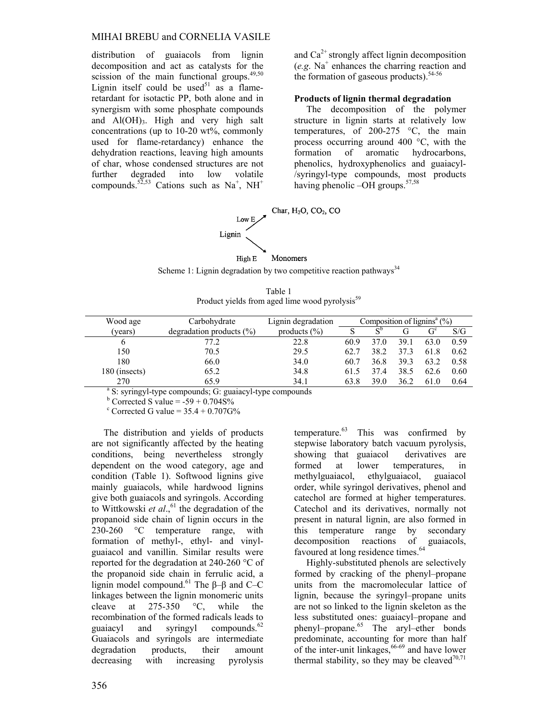#### MIHAI BREBU and CORNELIA VASILE

distribution of guaiacols from lignin decomposition and act as catalysts for the scission of the main functional groups. $49,50$ Lignin itself could be used $51$  as a flameretardant for isotactic PP, both alone and in synergism with some phosphate compounds and  $Al(OH)_{3}$ . High and very high salt concentrations (up to 10-20 wt%, commonly used for flame-retardancy) enhance the dehydration reactions, leaving high amounts of char, whose condensed structures are not further degraded into low volatile compounds.<sup>52,53</sup> Cations such as Na<sup>+</sup>, NH<sup>+</sup>

and  $Ca<sup>2+</sup>$  strongly affect lignin decomposition (*e.g*. Na+ enhances the charring reaction and the formation of gaseous products). $54-56$ 

#### **Products of lignin thermal degradation**

The decomposition of the polymer structure in lignin starts at relatively low temperatures, of 200-275 °C, the main process occurring around 400 °C, with the formation of aromatic hydrocarbons, phenolics, hydroxyphenolics and guaiacyl- /syringyl-type compounds, most products having phenolic -OH groups.<sup>57,58</sup>



Scheme 1: Lignin degradation by two competitive reaction pathways<sup>34</sup>

| Table 1                                                    |  |
|------------------------------------------------------------|--|
| Product yields from aged lime wood pyrolysis <sup>59</sup> |  |

| Wood age                                                            | Carbohydrate                 | Lignin degradation | Composition of lignins <sup>a</sup> $(\%)$ |                |      |       |      |
|---------------------------------------------------------------------|------------------------------|--------------------|--------------------------------------------|----------------|------|-------|------|
| (years)                                                             | degradation products $(\% )$ | products $(\% )$   |                                            | $S^{\text{D}}$ |      | $G^c$ | S/G  |
| b                                                                   | 77.2                         | 22.8               | 60.9                                       | 37 O           | 39.1 | 63.0  | 0.59 |
| 150                                                                 | 70.5                         | 29.5               | 62.7                                       | 38.2           | 37.3 | 61.8  | 0.62 |
| 180                                                                 | 66.0                         | 34.0               | 60.7                                       | 36.8           | 39.3 | 63.2  | 0.58 |
| 180 (insects)                                                       | 65.2                         | 34.8               | 61.5                                       | 374            | 38.5 | 62.6  | 0.60 |
| 270                                                                 | 65.9                         | 34.1               | 63.8                                       | 39.0           | 36.2 | 61.0  | 0.64 |
| <sup>a</sup> S: syringyl-type compounds; G: guaiacyl-type compounds |                              |                    |                                            |                |      |       |      |

 $b$  Corrected S value = -59 + 0.704S%

 $c$  Corrected G value =  $35.4 + 0.707$ G%

The distribution and yields of products are not significantly affected by the heating conditions, being nevertheless strongly dependent on the wood category, age and condition (Table 1). Softwood lignins give mainly guaiacols, while hardwood lignins give both guaiacols and syringols. According to Wittkowski et al.,<sup>61</sup> the degradation of the propanoid side chain of lignin occurs in the 230-260 °C temperature range, with formation of methyl-, ethyl- and vinylguaiacol and vanillin. Similar results were reported for the degradation at 240-260 °C of the propanoid side chain in ferrulic acid, a lignin model compound.<sup>61</sup> The  $\beta$ – $\beta$  and C–C linkages between the lignin monomeric units cleave at 275-350 °C, while the recombination of the formed radicals leads to guaiacyl and syringyl compounds. $62$ Guaiacols and syringols are intermediate degradation products, their amount decreasing with increasing pyrolysis

temperature. $63$  This was confirmed by stepwise laboratory batch vacuum pyrolysis, showing that guaiacol derivatives are formed at lower temperatures, in methylguaiacol, ethylguaiacol, guaiacol order, while syringol derivatives, phenol and catechol are formed at higher temperatures. Catechol and its derivatives, normally not present in natural lignin, are also formed in this temperature range by secondary decomposition reactions of guaiacols, favoured at long residence times.<sup>64</sup>

Highly-substituted phenols are selectively formed by cracking of the phenyl–propane units from the macromolecular lattice of lignin, because the syringyl–propane units are not so linked to the lignin skeleton as the less substituted ones: guaiacyl–propane and phenyl–propane.65 The aryl–ether bonds predominate, accounting for more than half of the inter-unit linkages,  $66-69$  and have lower thermal stability, so they may be cleaved $70,71$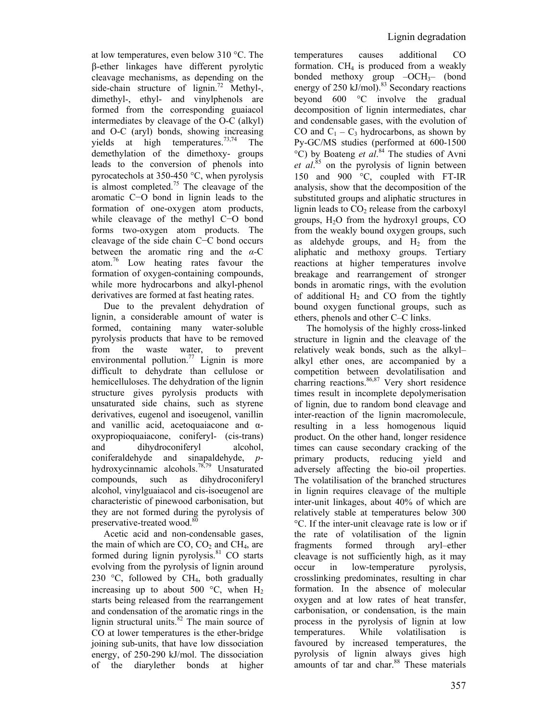at low temperatures, even below 310 °C. The β-ether linkages have different pyrolytic cleavage mechanisms, as depending on the side-chain structure of lignin.<sup>72</sup> Methyl-, dimethyl-, ethyl- and vinylphenols are formed from the corresponding guaiacol intermediates by cleavage of the O-C (alkyl) and O-C (aryl) bonds, showing increasing yields at high temperatures.<sup>73,74</sup> The demethylation of the dimethoxy- groups leads to the conversion of phenols into pyrocatechols at 350-450 °C, when pyrolysis is almost completed.<sup>75</sup> The cleavage of the aromatic C−O bond in lignin leads to the formation of one-oxygen atom products, while cleavage of the methyl C−O bond forms two-oxygen atom products. The cleavage of the side chain C−C bond occurs between the aromatic ring and the *α*-C atom.76 Low heating rates favour the formation of oxygen-containing compounds, while more hydrocarbons and alkyl-phenol derivatives are formed at fast heating rates.

Due to the prevalent dehydration of lignin, a considerable amount of water is formed, containing many water-soluble pyrolysis products that have to be removed from the waste water, to prevent environmental pollution.<sup>77</sup> Lignin is more difficult to dehydrate than cellulose or hemicelluloses. The dehydration of the lignin structure gives pyrolysis products with unsaturated side chains, such as styrene derivatives, eugenol and isoeugenol, vanillin and vanillic acid, acetoquaiacone and αoxypropioquaiacone, coniferyl- (cis-trans) and dihydroconiferyl alcohol, coniferaldehyde and sinapaldehyde, *p*hydroxycinnamic alcohols.78,79 Unsaturated compounds, such as dihydroconiferyl alcohol, vinylguaiacol and cis-isoeugenol are characteristic of pinewood carbonisation, but they are not formed during the pyrolysis of preservative-treated wood.<sup>80</sup>

Acetic acid and non-condensable gases, the main of which are  $CO$ ,  $CO<sub>2</sub>$  and  $CH<sub>4</sub>$ , are formed during lignin pyrolysis. $81$  CO starts evolving from the pyrolysis of lignin around 230  $\degree$ C, followed by CH<sub>4</sub>, both gradually increasing up to about 500  $^{\circ}$ C, when H<sub>2</sub> starts being released from the rearrangement and condensation of the aromatic rings in the lignin structural units. $82$  The main source of CO at lower temperatures is the ether-bridge joining sub-units, that have low dissociation energy, of 250-290 kJ/mol. The dissociation of the diarylether bonds at higher

temperatures causes additional CO formation.  $CH<sub>4</sub>$  is produced from a weakly bonded methoxy group  $-OCH_3$ – (bond energy of  $250 \text{ kJ/mol}$ .<sup>83</sup> Secondary reactions beyond 600 °C involve the gradual decomposition of lignin intermediates, char and condensable gases, with the evolution of CO and  $C_1 - C_3$  hydrocarbons, as shown by Py-GC/MS studies (performed at 600-1500 °C) by Boateng *et al*. 84 The studies of Avni *et al*. 85 on the pyrolysis of lignin between 150 and 900 °C, coupled with FT-IR analysis, show that the decomposition of the substituted groups and aliphatic structures in lignin leads to  $CO<sub>2</sub>$  release from the carboxyl groups,  $H_2O$  from the hydroxyl groups,  $CO$ from the weakly bound oxygen groups, such as aldehyde groups, and  $H<sub>2</sub>$  from the aliphatic and methoxy groups. Tertiary reactions at higher temperatures involve breakage and rearrangement of stronger bonds in aromatic rings, with the evolution of additional  $H_2$  and CO from the tightly bound oxygen functional groups, such as ethers, phenols and other C–C links.

The homolysis of the highly cross-linked structure in lignin and the cleavage of the relatively weak bonds, such as the alkyl– alkyl ether ones, are accompanied by a competition between devolatilisation and charring reactions.<sup>86,87</sup> Very short residence times result in incomplete depolymerisation of lignin, due to random bond cleavage and inter-reaction of the lignin macromolecule, resulting in a less homogenous liquid product. On the other hand, longer residence times can cause secondary cracking of the primary products, reducing yield and adversely affecting the bio-oil properties. The volatilisation of the branched structures in lignin requires cleavage of the multiple inter-unit linkages, about 40% of which are relatively stable at temperatures below 300 °C. If the inter-unit cleavage rate is low or if the rate of volatilisation of the lignin fragments formed through aryl–ether cleavage is not sufficiently high, as it may occur in low-temperature pyrolysis, crosslinking predominates, resulting in char formation. In the absence of molecular oxygen and at low rates of heat transfer, carbonisation, or condensation, is the main process in the pyrolysis of lignin at low temperatures. While volatilisation is favoured by increased temperatures, the pyrolysis of lignin always gives high amounts of tar and char.<sup>88</sup> These materials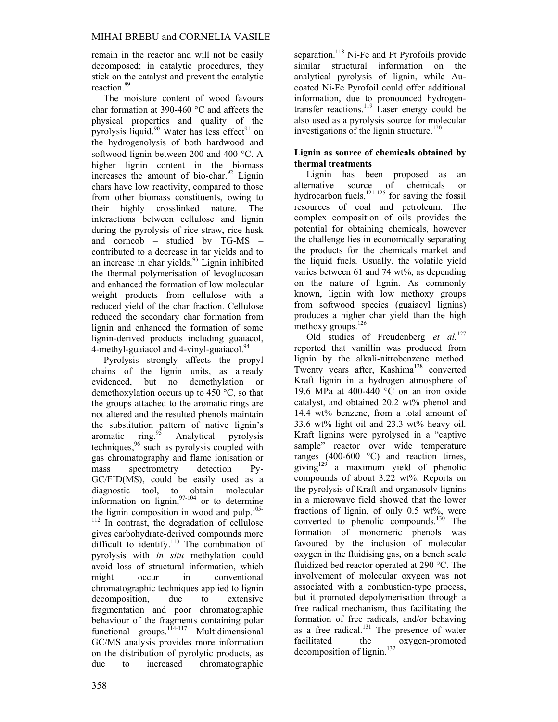remain in the reactor and will not be easily decomposed; in catalytic procedures, they stick on the catalyst and prevent the catalytic reaction.<sup>89</sup>

The moisture content of wood favours char formation at 390-460 °C and affects the physical properties and quality of the pyrolysis liquid.<sup>90</sup> Water has less effect<sup>91</sup> on the hydrogenolysis of both hardwood and softwood lignin between 200 and 400 °C. A higher lignin content in the biomass increases the amount of bio-char. $92$  Lignin chars have low reactivity, compared to those from other biomass constituents, owing to their highly crosslinked nature. The interactions between cellulose and lignin during the pyrolysis of rice straw, rice husk and corncob – studied by TG-MS – contributed to a decrease in tar yields and to an increase in char yields.<sup>93</sup> Lignin inhibited the thermal polymerisation of levoglucosan and enhanced the formation of low molecular weight products from cellulose with a reduced yield of the char fraction. Cellulose reduced the secondary char formation from lignin and enhanced the formation of some lignin-derived products including guaiacol, 4-methyl-guaiacol and 4-vinyl-guaiacol.<sup>94</sup>

Pyrolysis strongly affects the propyl chains of the lignin units, as already evidenced, but no demethylation or demethoxylation occurs up to 450 °C, so that the groups attached to the aromatic rings are not altered and the resulted phenols maintain the substitution pattern of native lignin's aromatic  $\frac{1}{2}$  Analytical pyrolysis aromatic ring. $\frac{95}{2}$  Analytical pyrolysis techniques,<sup>96</sup> such as pyrolysis coupled with gas chromatography and flame ionisation or mass spectrometry detection Py-GC/FID(MS), could be easily used as a diagnostic tool, to obtain molecular information on lignin,  $97-104$  or to determine the lignin composition in wood and pulp. $105 \frac{112}{112}$  In contrast, the degradation of cellulose gives carbohydrate-derived compounds more difficult to identify.<sup>113</sup> The combination of pyrolysis with *in situ* methylation could avoid loss of structural information, which might occur in conventional chromatographic techniques applied to lignin decomposition, due to extensive fragmentation and poor chromatographic behaviour of the fragments containing polar functional groups.<sup>114-117</sup> Multidimensional GC/MS analysis provides more information on the distribution of pyrolytic products, as due to increased chromatographic

separation.<sup>118</sup> Ni-Fe and Pt Pyrofoils provide similar structural information on the analytical pyrolysis of lignin, while Aucoated Ni-Fe Pyrofoil could offer additional information, due to pronounced hydrogentransfer reactions.119 Laser energy could be also used as a pyrolysis source for molecular investigations of the lignin structure.<sup>120</sup>

# **Lignin as source of chemicals obtained by thermal treatments**

Lignin has been proposed as an alternative source of chemicals or hydrocarbon fuels, $^{121-125}$  for saving the fossil resources of coal and petroleum. The complex composition of oils provides the potential for obtaining chemicals, however the challenge lies in economically separating the products for the chemicals market and the liquid fuels. Usually, the volatile yield varies between 61 and 74 wt%, as depending on the nature of lignin. As commonly known, lignin with low methoxy groups from softwood species (guaiacyl lignins) produces a higher char yield than the high methoxy groups.<sup>126</sup>

Old studies of Freudenberg *et al.*<sup>127</sup> reported that vanillin was produced from lignin by the alkali-nitrobenzene method. Twenty years after, Kashima<sup>128</sup> converted Kraft lignin in a hydrogen atmosphere of 19.6 MPa at 400-440 °C on an iron oxide catalyst, and obtained 20.2 wt% phenol and 14.4 wt% benzene, from a total amount of 33.6 wt% light oil and 23.3 wt% heavy oil. Kraft lignins were pyrolysed in a "captive sample" reactor over wide temperature ranges (400-600 °C) and reaction times, giving<sup>129</sup> a maximum yield of phenolic compounds of about 3.22 wt%. Reports on the pyrolysis of Kraft and organosolv lignins in a microwave field showed that the lower fractions of lignin, of only 0.5 wt%, were converted to phenolic compounds.<sup>130</sup> The formation of monomeric phenols was favoured by the inclusion of molecular oxygen in the fluidising gas, on a bench scale fluidized bed reactor operated at 290 °C. The involvement of molecular oxygen was not associated with a combustion-type process, but it promoted depolymerisation through a free radical mechanism, thus facilitating the formation of free radicals, and/or behaving as a free radical. $131$  The presence of water facilitated the oxygen-promoted decomposition of lignin. $132$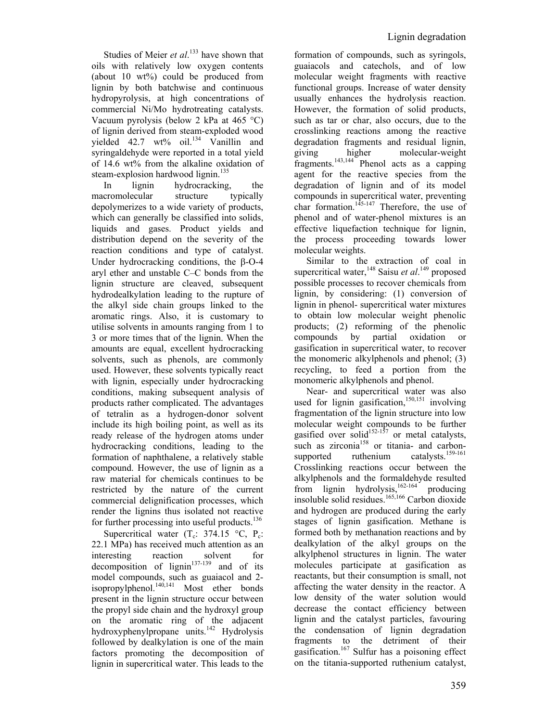Studies of Meier *et al.*<sup>133</sup> have shown that oils with relatively low oxygen contents (about  $10 \text{ wt\%}$ ) could be produced from lignin by both batchwise and continuous hydropyrolysis, at high concentrations of commercial Ni/Mo hydrotreating catalysts. Vacuum pyrolysis (below 2 kPa at 465 °C) of lignin derived from steam-exploded wood vielded  $42.7 \text{ wt\%}$  oil.<sup>134</sup> Vanillin and syringaldehyde were reported in a total yield of 14.6 wt% from the alkaline oxidation of steam-explosion hardwood lignin.<sup>135</sup>

In lignin hydrocracking, the macromolecular structure typically depolymerizes to a wide variety of products, which can generally be classified into solids, liquids and gases. Product yields and distribution depend on the severity of the reaction conditions and type of catalyst. Under hydrocracking conditions, the β-O-4 aryl ether and unstable C–C bonds from the lignin structure are cleaved, subsequent hydrodealkylation leading to the rupture of the alkyl side chain groups linked to the aromatic rings. Also, it is customary to utilise solvents in amounts ranging from 1 to 3 or more times that of the lignin. When the amounts are equal, excellent hydrocracking solvents, such as phenols, are commonly used. However, these solvents typically react with lignin, especially under hydrocracking conditions, making subsequent analysis of products rather complicated. The advantages of tetralin as a hydrogen-donor solvent include its high boiling point, as well as its ready release of the hydrogen atoms under hydrocracking conditions, leading to the formation of naphthalene, a relatively stable compound. However, the use of lignin as a raw material for chemicals continues to be restricted by the nature of the current commercial delignification processes, which render the lignins thus isolated not reactive for further processing into useful products. $136$ 

Supercritical water  $(T_c: 374.15 \degree C, P_c)$ 22.1 MPa) has received much attention as an interesting reaction solvent for decomposition of lignin $137-139$  and of its model compounds, such as guaiacol and 2 isopropylphenol. $140,141$  Most ether bonds present in the lignin structure occur between the propyl side chain and the hydroxyl group on the aromatic ring of the adjacent hydroxyphenylpropane units.<sup>142</sup> Hydrolysis followed by dealkylation is one of the main factors promoting the decomposition of lignin in supercritical water. This leads to the formation of compounds, such as syringols, guaiacols and catechols, and of low molecular weight fragments with reactive functional groups. Increase of water density usually enhances the hydrolysis reaction. However, the formation of solid products, such as tar or char, also occurs, due to the crosslinking reactions among the reactive degradation fragments and residual lignin, giving higher molecular-weight fragments.<sup>143,144</sup> Phenol acts as a capping agent for the reactive species from the degradation of lignin and of its model compounds in supercritical water, preventing char formation.<sup>145-147</sup> Therefore, the use of phenol and of water-phenol mixtures is an effective liquefaction technique for lignin, the process proceeding towards lower molecular weights.

Similar to the extraction of coal in supercritical water, <sup>148</sup> Saisu *et al*.<sup>149</sup> proposed possible processes to recover chemicals from lignin, by considering: (1) conversion of lignin in phenol- supercritical water mixtures to obtain low molecular weight phenolic products; (2) reforming of the phenolic compounds by partial oxidation or gasification in supercritical water, to recover the monomeric alkylphenols and phenol; (3) recycling, to feed a portion from the monomeric alkylphenols and phenol.

Near- and supercritical water was also used for lignin gasification.<sup>150,151</sup> involving fragmentation of the lignin structure into low molecular weight compounds to be further gasified over solid<sup>152-157</sup> or metal catalysts, such as zirconia<sup>158</sup> or titania- and carbonsupported ruthenium catalysts.<sup>159-161</sup> Crosslinking reactions occur between the alkylphenols and the formaldehyde resulted from lignin hydrolysis,<sup>162-164</sup> producing insoluble solid residues.165,166 Carbon dioxide and hydrogen are produced during the early stages of lignin gasification. Methane is formed both by methanation reactions and by dealkylation of the alkyl groups on the alkylphenol structures in lignin. The water molecules participate at gasification as reactants, but their consumption is small, not affecting the water density in the reactor. A low density of the water solution would decrease the contact efficiency between lignin and the catalyst particles, favouring the condensation of lignin degradation fragments to the detriment of their gasification.<sup>167</sup> Sulfur has a poisoning effect on the titania-supported ruthenium catalyst,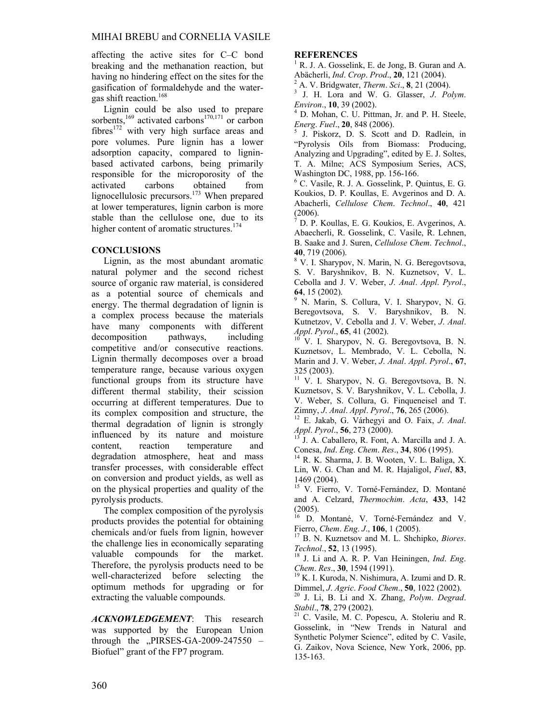affecting the active sites for C–C bond breaking and the methanation reaction, but having no hindering effect on the sites for the gasification of formaldehyde and the watergas shift reaction.<sup>168</sup>

Lignin could be also used to prepare sorbents,<sup>169</sup> activated carbons<sup>170,171</sup> or carbon fibres<sup>172</sup> with very high surface areas and pore volumes. Pure lignin has a lower adsorption capacity, compared to ligninbased activated carbons, being primarily responsible for the microporosity of the activated carbons obtained from lignocellulosic precursors.<sup>173</sup> When prepared at lower temperatures, lignin carbon is more stable than the cellulose one, due to its higher content of aromatic structures.<sup>174</sup>

# **CONCLUSIONS**

Lignin, as the most abundant aromatic natural polymer and the second richest source of organic raw material, is considered as a potential source of chemicals and energy. The thermal degradation of lignin is a complex process because the materials have many components with different decomposition pathways, including competitive and/or consecutive reactions. Lignin thermally decomposes over a broad temperature range, because various oxygen functional groups from its structure have different thermal stability, their scission occurring at different temperatures. Due to its complex composition and structure, the thermal degradation of lignin is strongly influenced by its nature and moisture content, reaction temperature and degradation atmosphere, heat and mass transfer processes, with considerable effect on conversion and product yields, as well as on the physical properties and quality of the pyrolysis products.

The complex composition of the pyrolysis products provides the potential for obtaining chemicals and/or fuels from lignin, however the challenge lies in economically separating valuable compounds for the market. Therefore, the pyrolysis products need to be well-characterized before selecting the optimum methods for upgrading or for extracting the valuable compounds.

*ACKNOWLEDGEMENT*: This research was supported by the European Union through the  $,$ PIRSES-GA-2009-247550 – Biofuel" grant of the FP7 program.

# **REFERENCES**

1 R. J. A. Gosselink, E. de Jong, B. Guran and A. Abächerli, *Ind*. *Crop*. *Prod*., **20**, 121 (2004). 2

 $^2$  A. V. Bridgwater, *Therm. Sci.*, **8**, 21 (2004).

 J. H. Lora and W. G. Glasser, *J*. *Polym*. *Environ*., **10**, 39 (2002). 4

 D. Mohan, C. U. Pittman, Jr. and P. H. Steele, *Energ. Fuel.*, **20**, 848 (2006).

 J. Piskorz, D. S. Scott and D. Radlein, in "Pyrolysis Oils from Biomass: Producing, Analyzing and Upgrading", edited by E. J. Soltes, T. A. Milne; ACS Symposium Series, ACS, Washington DC, 1988, pp. 156-166.

6 C. Vasile, R. J. A. Gosselink, P. Quintus, E. G. Koukios, D. P. Koullas, E. Avgerinos and D. A. Abacherli, *Cellulose Chem*. *Technol*., **40**, 421 (2006).

 $^7$  D. P. Koullas, E. G. Koukios, E. Avgerinos, A. Abaecherli, R. Gosselink, C. Vasile, R. Lehnen, B. Saake and J. Suren, *Cellulose Chem*. *Technol*., **<sup>40</sup>**, 719 (2006). 8

 V. I. Sharypov, N. Marin, N. G. Beregovtsova, S. V. Baryshnikov, B. N. Kuznetsov, V. L. Cebolla and J. V. Weber, *J*. *Anal*. *Appl*. *Pyrol*., 64, 15 (2002).

 N. Marin, S. Collura, V. I. Sharypov, N. G. Beregovtsova, S. V. Baryshnikov, B. N. Kutnetzov, V. Cebolla and J. V. Weber, *J*. *Anal*. *Appl. Pyrol.*, **65**, 41 (2002). <sup>10</sup> V. I. Sharypov, N. G. Beregovtsova, B. N.

Kuznetsov, L. Membrado, V. L. Cebolla, N. Marin and J. V. Weber, *J*. *Anal*. *Appl*. *Pyrol*., **67**, 325 (2003).

<sup>11</sup> V. I. Sharypov, N. G. Beregovtsova, B. N. Kuznetsov, S. V. Baryshnikov, V. L. Cebolla, J. V. Weber, S. Collura, G. Finqueneisel and T. Zimny, J. Anal. Appl. Pyrol., 76, 265 (2006).

<sup>12</sup> E. Jakab, G. Várhegyi and O. Faix, *J. Anal. Appl. Pyrol.*, **56**, 273 (2000).

*J. A. Caballero, R. Font, A. Marcilla and J. A.* Conesa, *Ind*. *Eng*. *Chem*. *Res*., **34**, 806 (1995). 14 R. K. Sharma, J. B. Wooten, V. L. Baliga, X.

Lin, W. G. Chan and M. R. Hajaligol, *Fuel*, **83**, 1469 (2004).

<sup>15</sup> V. Fierro, V. Torné-Fernández, D. Montané and A. Celzard, *Thermochim*. *Acta*, **433**, 142 (2005).

16 D. Montané, V. Torné-Fernández and V.

Fierro, *Chem*. *Eng*. *J*., **106**, 1 (2005). 17 B. N. Kuznetsov and M. L. Shchipko, *Biores*.

*Technol.*, **52**, 13 (1995).<br><sup>18</sup> J. Li and A. R. P. Van Heiningen, *Ind. Eng. Chem. Res.*, **30**, 1594 (1991).

<sup>19</sup> K. I. Kuroda, N. Nishimura, A. Izumi and D. R.<br>Dimmel, *J. Agric. Food Chem.*, **50**, 1022 (2002).

<sup>20</sup> J. Li, B. Li and X. Zhang, *Polym. Degrad.* 

*Stabil.*, **78**, 279 (2002). <sup>21</sup> C. Vasile, M. C. Popescu, A. Stoleriu and R. Gosselink, in "New Trends in Natural and Synthetic Polymer Science", edited by C. Vasile, G. Zaikov, Nova Science, New York, 2006, pp. 135-163.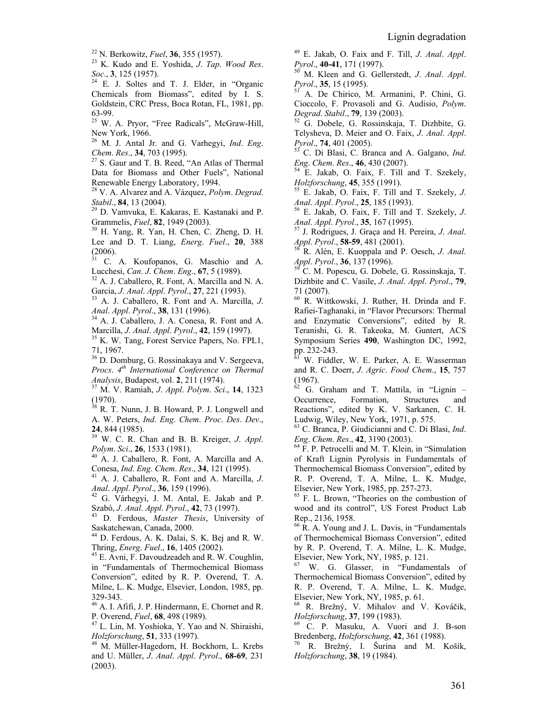22 N. Berkowitz, *Fuel*, **36**, 355 (1957). 23 K. Kudo and E. Yoshida, *J*. *Tap*. *Wood Res*. *Soc*., **3**, 125 (1957). 24 E. J. Soltes and T. J. Elder, in "Organic

Chemicals from Biomass", edited by I. S. Goldstein, CRC Press, Boca Rotan, FL, 1981, pp.  $63-99.$ <br> $25 \frac{\text{W}}{\text{W}}$ 

25 W. A. Pryor, "Free Radicals", McGraw-Hill, New York, 1966.<br> $^{26}$  M<sub>J</sub> Antal I

26 M. J. Antal Jr. and G. Varhegyi, *Ind*. *Eng*.

<sup>27</sup> S. Gaur and T. B. Reed, "An Atlas of Thermal Data for Biomass and Other Fuels", National Renewable Energy Laboratory, 1994.

28 V. A. Alvarez and A. Vázquez, *Polym*. *Degrad*. *Stabil*., **<sup>84</sup>**, 13 (2004). 29 D. Vamvuka, E. Kakaras, E. Kastanaki and P.

Grammelis, *Fuel*, **82**, 1949 (2003). 30 H. Yang, R. Yan, H. Chen, C. Zheng, D. H.

Lee and D. T. Liang, *Energ*. *Fuel*., **20**, 388 (2006).

31 C. A. Koufopanos, G. Maschio and A. Lucchesi, *Can*. *J*. *Chem*. *Eng*., **<sup>67</sup>**, 5 (1989). 32 A. J. Caballero, R. Font, A. Marcilla and N. A.

Garcia, *J*. *Anal*. *Appl*. *Pyrol*., **<sup>27</sup>**, 221 (1993). 33 A. J. Caballero, R. Font and A. Marcilla, *J*.

*Anal*. *Appl*. *Pyrol*., **38**, 131 (1996). 34 A. J. Caballero, J. A. Conesa, R. Font and A.

Marcilla, *J*. *Anal*. *Appl*. *Pyrol*., **<sup>42</sup>**, 159 (1997). 35 K. W. Tang, Forest Service Papers, No. FPL1,

71, 1967.

<sup>36</sup> D. Domburg, G. Rossinakaya and V. Sergeeva, *Procs*. *4th International Conference on Thermal Analysis*, Budapest, vol. **2**, 211 (1974). 37 M. V. Ramiah, *J*. *Appl*. *Polym*. *Sci*., **<sup>14</sup>**, 1323

 $(1970)$ .<br><sup>38</sup> R T

38 R. T. Nunn, J. B. Howard, P. J. Longwell and A. W. Peters, *Ind*. *Eng*. *Chem*. *Proc*. *Des*. *Dev*.,

**<sup>24</sup>**, 844 (1985). 39 W. C. R. Chan and B. B. Kreiger, *J*. *Appl*. *Polym*. *Sci*., **<sup>26</sup>**, 1533 (1981). 40 A. J. Caballero, R. Font, A. Marcilla and A.

Conesa, *Ind*. *Eng*. *Chem*. *Res*., **<sup>34</sup>**, 121 (1995). 41 A. J. Caballero, R. Font and A. Marcilla, *J*.

*Anal*. *Appl*. *Pyrol*., **36**, 159 (1996). 42 G. Várhegyi, J. M. Antal, E. Jakab and P.

Szabó, *J*. *Anal*. *Appl*. *Pyrol*., **<sup>42</sup>**, 73 (1997). 43 D. Ferdous, *Master Thesis*, University of

Saskatchewan, Canada, 2000.

 $^{44}$  D. Ferdous, A. K. Dalai, S. K. Bej and R. W. Thring, *Energ. Fuel.*, **16**, 1405 (2002).

<sup>45</sup> E. Avni, F. Davoudzeadeh and R. W. Coughlin, in "Fundamentals of Thermochemical Biomass Conversion", edited by R. P. Overend, T. A. Milne, L. K. Mudge, Elsevier, London, 1985, pp. 329-343.

46 A. I. Afifi, J. P. Hindermann, E. Chornet and R. P. Overend, *Fuel*, **68**, 498 (1989). 47 L. Lin, M. Yoshioka, Y. Yao and N. Shiraishi,

*Holzforschung*, **51**, 333 (1997). 48 M. Müller-Hagedorn, H. Bockhorn, L. Krebs

and U. Müller, *J*. *Anal*. *Appl*. *Pyrol*., **68-69**, 231 (2003).

49 E. Jakab, O. Faix and F. Till, *J*. *Anal*. *Appl*.

*M.* Kleen and G. Gellerstedt, *J. Anal. Appl. Pyrol*., **<sup>35</sup>**, 15 (1995). 51 A. De Chirico, M. Armanini, P. Chini, G.

Cioccolo, F. Provasoli and G. Audisio, *Polym*.

*Degrad*. *Stabil*., **79**, 139 (2003). 52 G. Dobele, G. Rossinskaja, T. Dizhbite, G. Telysheva, D. Meier and O. Faix, *J*. *Anal*. *Appl*.

<sup>53</sup> C. Di Blasi, C. Branca and A. Galgano, *Ind. Eng. Chem. Res.*, **46**, 430 (2007).

<sup>54</sup> E. Jakab, O. Faix, F. Till and T. Szekely,

*Holzforschung*, **45**, 355 (1991).<br><sup>55</sup> E. Jakab, O. Faix, F. Till and T. Szekely, *J.*<br>*Anal. Appl. Pyrol.*, **25**, 185 (1993).

<sup>56</sup> E. Jakab, O. Faix, F. Till and T. Szekely, *J. Anal*. *Appl*. *Pyrol*., **35**, 167 (1995). 57 J. Rodrigues, J. Graça and H. Pereira, *J*. *Anal*.

*Appl*. *Pyrol*., **58-59**, 481 (2001). 58 R. Alén, E. Kuoppala and P. Oesch, *J*. *Anal*.

*Appl. Pyrol.*, **36**, 137 (1996).<br><sup>59</sup> C. M. Popescu, G. Dobele, G. Rossinskaja, T.

Dizhbite and C. Vasile, *J*. *Anal*. *Appl*. *Pyrol*., **79**, 71 (2007).

60 R. Wittkowski, J. Ruther, H. Drinda and F. Rafiei-Taghanaki, in "Flavor Precursors: Thermal and Enzymatic Conversions", edited by R. Teranishi, G. R. Takeoka, M. Guntert, ACS Symposium Series **490**, Washington DC, 1992, pp. 232-243.

61 W. Fiddler, W. E. Parker, A. E. Wasserman and R. C. Doerr, *J*. *Agric*. *Food Chem*., **15**, 757 (1967).

 $62$  G. Graham and T. Mattila, in "Lignin -Occurrence, Formation, Structures and Reactions", edited by K. V. Sarkanen, C. H. Ludwig, Wiley, New York, 1971, p. 575.

63 C. Branca, P. Giudicianni and C. Di Blasi, *Ind*. *Eng. Chem. Res.*, **42**, 3190 (2003).<br><sup>64</sup> F. P. Petrocelli and M. T. Klein, in "Simulation

of Kraft Lignin Pyrolysis in Fundamentals of Thermochemical Biomass Conversion", edited by R. P. Overend, T. A. Milne, L. K. Mudge, Elsevier, New York, 1985, pp. 257-273.

65 F. L. Brown, "Theories on the combustion of wood and its control", US Forest Product Lab Rep., 2136, 1958.

<sup>66</sup> R. A. Young and J. L. Davis, in "Fundamentals" of Thermochemical Biomass Conversion", edited by R. P. Overend, T. A. Milne, L. K. Mudge, Elsevier, New York, NY, 1985, p. 121.

67 W. G. Glasser, in "Fundamentals of Thermochemical Biomass Conversion", edited by R. P. Overend, T. A. Milne, L. K. Mudge, Elsevier, New York, NY, 1985, p. 61.

68 R. Brežný, V. Mihalov and V. Kováčik, *Holzforschung*, **37**, 199 (1983). 69 C. P. Masuku, A. Vuori and J. B-son

Bredenberg, *Holzforschung*, **42**, 361 (1988). 70 R. Brežný, I. Šurina and M. Košík,

*Holzforschung*, **38**, 19 (1984).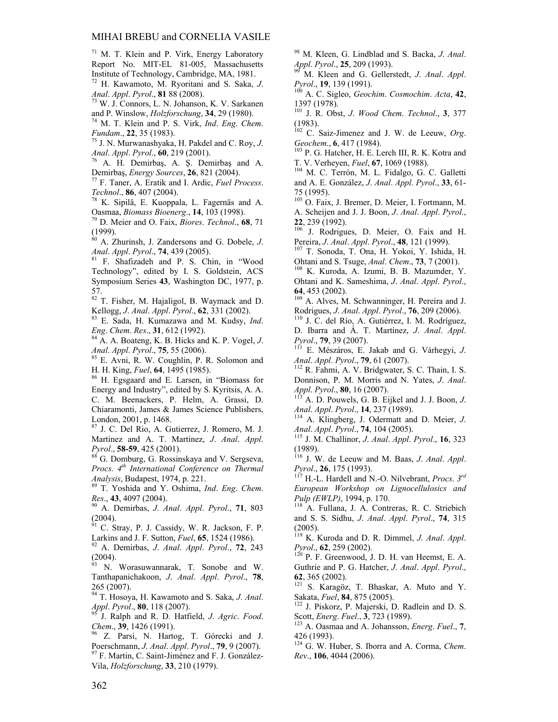#### MIHAI BREBU and CORNELIA VASILE

<sup>71</sup> M. T. Klein and P. Virk, Energy Laboratory Report No. MIT-EL 81-005, Massachusetts Institute of Technology, Cambridge, MA, 1981.

72 H. Kawamoto, M. Ryoritani and S. Saka, *J*. *Anal*. *Appl*. *Pyrol*., **81** 88 (2008). 73 W. J. Connors, L. N. Johanson, K. V. Sarkanen

and P. Winslow, *Holzforschung*, **34**, 29 (1980). 74 M. T. Klein and P. S. Virk, *Ind*. *Eng*. *Chem*.

*Fundam.*, **22**, 35 (1983).<br><sup>75</sup> J. N. Murwanashyaka, H. Pakdel and C. Roy, *J.*<br>*Anal. Appl. Pyrol.*, **60**, 219 (2001).

*Anal*. *Appl*. *Pyrol*., **60**, 219 (2001). 76 A. H. Demirbaş, A. Ş. Demirbaş and A. Demirbaş, *Energy Sources*, **26**, 821 (2004). 77 F. Taner, A. Eratik and I. Ardic, *Fuel Process*.

*Technol*., **<sup>86</sup>**, 407 (2004). 78 K. Sipilä, E. Kuoppala, L. Fagernäs and A.

Oasmaa, *Biomass Bioenerg*., **14**, 103 (1998). 79 D. Meier and O. Faix, *Biores*. *Technol*., **68**, 71

(1999).

80 A. Zhurinsh, J. Zandersons and G. Dobele, *J*. *Anal*. *Appl*. *Pyrol*., **<sup>74</sup>**, 439 (2005). 81 F. Shafizadeh and P. S. Chin, in "Wood

Technology", edited by I. S. Goldstein, ACS Symposium Series **43**, Washington DC, 1977, p. 57.

82 T. Fisher, M. Hajaligol, B. Waymack and D. Kellogg, *J*. *Anal*. *Appl*. *Pyrol*., **62**, 331 (2002). 83 E. Sada, H. Kumazawa and M. Kudsy, *Ind*.

*Eng*. *Chem*. *Res*., **<sup>31</sup>**, 612 (1992). 84 A. A. Boateng, K. B. Hicks and K. P. Vogel, *J*.

*Anal*. *Appl*. *Pyrol*., **75**, 55 (2006). 85 E. Avni, R. W. Coughlin, P. R. Solomon and

H. H. King, *Fuel*, **<sup>64</sup>**, 1495 (1985). 86 H. Egsgaard and E. Larsen, in "Biomass for

Energy and Industry", edited by S. Kyritsis, A. A. C. M. Beenackers, P. Helm, A. Grassi, D. Chiaramonti, James & James Science Publishers, London, 2001, p. 1468.

87 J. C. Del Rio, A. Gutierrez, J. Romero, M. J. Martinez and A. T. Martinez, *J*. *Anal*. *Appl*. *Pyrol.*, **58-59**, 425 (2001). <sup>88</sup> G. Domburg, G. Rossinskaya and V. Sergseva,

*Procs. 4th International Conference on Thermal Analysis*, Budapest, 1974, p. 221. 89 T. Yoshida and Y. Oshima, *Ind*. *Eng*. *Chem*.

*Res*., **<sup>43</sup>**, 4097 (2004). 90 A. Demirbas, *J*. *Anal*. *Appl*. *Pyrol*., **71**, 803

 $\binom{2004}{91}$ .

91 C. Stray, P. J. Cassidy, W. R. Jackson, F. P. Larkins and J. F. Sutton, *Fuel*, **65**, 1524 (1986). 92 A. Demirbas, *J*. *Anal*. *Appl*. *Pyrol*., **72**, 243

(2004).

93 N. Worasuwannarak, T. Sonobe and W. Tanthapanichakoon, *J*. *Anal*. *Appl*. *Pyrol*., **78**, 265 (2007).

94 T. Hosoya, H. Kawamoto and S. Saka, *J*. *Anal*.

*Appl*. *Pyrol*., **80**, 118 (2007). 95 J. Ralph and R. D. Hatfield, *J*. *Agric*. *Food*.

*Chem.*, **39**, 1426 (1991).<br><sup>96</sup> Z. Parsi, N. Hartog, T. Górecki and J. Poerschmann, *J. Anal. Appl. Pyrol.*, **79**, 9 (2007). <sup>97</sup> F. Martin, C. Saint-Jiménez and F. J. González-

Vila, *Holzforschung*, **33**, 210 (1979).

98 M. Kleen, G. Lindblad and S. Backa, *J*. *Anal*.

*Appl. Pyrol.*, **25**, 209 (1993).<br><sup>99</sup> M. Kleen and G. Gellerstedt, *J. Anal. Appl.*<br>*Pyrol.*, **19**, 139 (1991).

*Pyrol*., **19**, 139 (1991). 100 A. C. Sigleo, *Geochim*. *Cosmochim*. *Acta*, **42**, 1397 (1978).

101 J. R. Obst, *J*. *Wood Chem*. *Technol*., **3**, 377 (1983).

102 C. Saiz-Jimenez and J. W. de Leeuw, *Org*.

*Geochem.*, **6**, 417 (1984).<br><sup>103</sup> P. G. Hatcher, H. E. Lerch III, R. K. Kotra and T. V. Verheyen, *Fuel*, **67**, 1069 (1988).

<sup>104</sup> M. C. Terrón, M. L. Fidalgo, G. C. Galletti and A. E. González, *J*. *Anal*. *Appl*. *Pyrol*., **33**, 61- 75 (1995).

105 O. Faix, J. Bremer, D. Meier, I. Fortmann, M. A. Scheijen and J. J. Boon, *J*. *Anal*. *Appl*. *Pyrol*.,

**22**, 239 (1992).<br><sup>106</sup> J. Rodrigues, D. Meier, O. Faix and H.<br>Pereira, *J. Anal. Appl. Pyrol.*, **48**, 121 (1999).

<sup>107</sup> T. Sonoda, T. Ona, H. Yokoi, Y. Ishida, H. Ohtani and S. Tsuge, *Anal*. *Chem*., **73**, 7 (2001). 108 K. Kuroda, A. Izumi, B. B. Mazumder, Y.

Ohtani and K. Sameshima, *J*. *Anal*. *Appl*. *Pyrol*.,

**<sup>64</sup>**, 453 (2002). 109 A. Alves, M. Schwanninger, H. Pereira and J. Rodrigues, *J*. *Anal*. *Appl*. *Pyrol*., **76**, 209 (2006). 110 J. C. del Río, A. Gutiérrez, I. M. Rodríguez,

D. Ibarra and Á. T. Martínez, *J*. *Anal*. *Appl*.

<sup>111</sup> E. Mészáros, E. Jakab and G. Várhegyi, *J. Anal. Appl. Pyrol.*, **79**, 61 (2007).

<sup>112</sup> R. Fahmi, A. V. Bridgwater, S. C. Thain, I. S. Donnison, P. M. Morris and N. Yates, *J*. *Anal*. *Appl*. *Pyrol*., **80**, 16 (2007). 113 A. D. Pouwels, G. B. Eijkel and J. J. Boon, *J*.

*Anal*. *Appl*. *Pyrol*., **14**, 237 (1989). 114 A. Klingberg, J. Odermatt and D. Meier, *J*. *Anal*. *Appl*. *Pyrol*., **74**, 104 (2005). 115 J. M. Challinor, *J*. *Anal*. *Appl*. *Pyrol*., **16**, 323

(1989).

<sup>116</sup> J. W. de Leeuw and M. Baas, *J. Anal. Appl.*<br>*Pyrol.*, **26**, 175 (1993).<br><sup>117</sup> H<sub>-I</sub> Hardell and N. O. Milyakeert, *D. ard* 

*H.-L. Hardell and N.-O. Nilvebrant, Procs.*  $3^{rd}$ *European Workshop on Lignocellulosics and Pulp (EWLP)*, 1994, p. 170.<br><sup>118</sup> A. Fullana, J. A. Contreras, R. C. Striebich

and S. S. Sidhu, *J*. *Anal*. *Appl*. *Pyrol*., **74**, 315 (2005).

119 K. Kuroda and D. R. Dimmel, *J*. *Anal*. *Appl*. *Pyrol.*, **62**, 259 (2002).<br><sup>120</sup> P. F. Greenwood, J. D. H. van Heemst, E. A.

Guthrie and P. G. Hatcher, *J*. *Anal*. *Appl*. *Pyrol*.,

**<sup>62</sup>**, 365 (2002). 121 S. Karagöz, T. Bhaskar, A. Muto and Y. Sakata, *Fuel*, **84**, 875 (2005). 122 J. Piskorz, P. Majerski, D. Radlein and D. S.

Scott, *Energ*. *Fuel*., **<sup>3</sup>**, 723 (1989). 123 A. Oasmaa and A. Johansson, *Energ*. *Fuel*., **<sup>7</sup>**,

426 (1993).

124 G. W. Huber, S. Iborra and A. Corma, *Chem*. *Rev*., **106**, 4044 (2006).